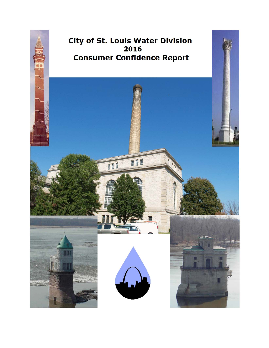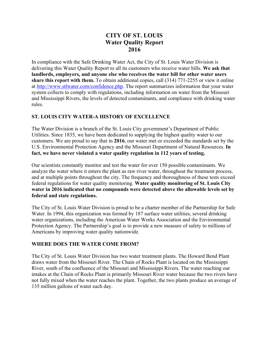# **CITY OF ST. LOUIS Water Quality Report 2016**

In compliance with the Safe Drinking Water Act, the City of St. Louis Water Division is delivering this Water Quality Report to all its customers who receive water bills. **We ask that landlords, employers, and anyone else who receives the water bill for other water users share this report with them.** To obtain additional copies, call (314) 771-2255 or view it online at http://www.stlwater.com/confidence.php. The report summarizes information that your water system collects to comply with regulations, including information on water from the Missouri and Mississippi Rivers, the levels of detected contaminants, and compliance with drinking water rules.

#### **ST. LOUIS CITY WATER-A HISTORY OF EXCELLENCE**

The Water Division is a branch of the St. Louis City government's Department of Public Utilities. Since 1835, we have been dedicated to supplying the highest quality water to our customers. We are proud to say that in **2016**, our water met or exceeded the standards set by the U.S. Environmental Protection Agency and the Missouri Department of Natural Resources. **In fact, we have never violated a water quality regulation in 112 years of testing.** 

Our scientists constantly monitor and test the water for over 150 possible contaminants. We analyze the water where it enters the plant as raw river water, throughout the treatment process, and at multiple points throughout the city. The frequency and thoroughness of these tests exceed federal regulations for water quality monitoring. **Water quality monitoring of St. Louis City water in 2016 indicated that no compounds were detected above the allowable levels set by federal and state regulations.** 

The City of St. Louis Water Division is proud to be a charter member of the Partnership for Safe Water. In 1994, this organization was formed by 187 surface water utilities, several drinking water organizations, including the American Water Works Association and the Environmental Protection Agency. The Partnership's goal is to provide a new measure of safety to millions of Americans by improving water quality nationwide.

# **WHERE DOES THE WATER COME FROM?**

The City of St. Louis Water Division has two water treatment plants. The Howard Bend Plant draws water from the Missouri River. The Chain of Rocks Plant is located on the Mississippi River, south of the confluence of the Missouri and Mississippi Rivers. The water reaching our intakes at the Chain of Rocks Plant is primarily Missouri River water because the two rivers have not fully mixed when the water reaches the plant. Together, the two plants produce an average of 135 million gallons of water each day.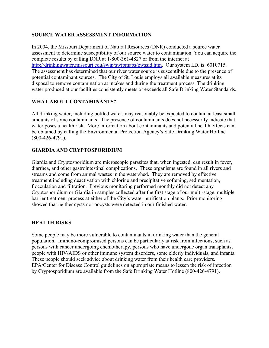#### **SOURCE WATER ASSESSMENT INFORMATION**

In 2004, the Missouri Department of Natural Resources (DNR) conducted a source water assessment to determine susceptibility of our source water to contamination. You can acquire the complete results by calling DNR at 1-800-361-4827 or from the internet at http://drinkingwater.missouri.edu/swip/swipmaps/pwssid.htm. Our system I.D. is: 6010715. The assessment has determined that our river water source is susceptible due to the presence of potential contaminant sources. The City of St. Louis employs all available measures at its disposal to remove contamination at intakes and during the treatment process. The drinking water produced at our facilities consistently meets or exceeds all Safe Drinking Water Standards.

#### **WHAT ABOUT CONTAMINANTS?**

All drinking water, including bottled water, may reasonably be expected to contain at least small amounts of some contaminants. The presence of contaminants does not necessarily indicate that water poses a health risk. More information about contaminants and potential health effects can be obtained by calling the Environmental Protection Agency's Safe Drinking Water Hotline (800-426-4791).

#### **GIARDIA AND CRYPTOSPORIDIUM**

Giardia and Cryptosporidium are microscopic parasites that, when ingested, can result in fever, diarrhea, and other gastrointestinal complications. These organisms are found in all rivers and streams and come from animal wastes in the watershed. They are removed by effective treatment including deactivation with chlorine and precipitative softening, sedimentation, flocculation and filtration. Previous monitoring performed monthly did not detect any Cryptosporidium or Giardia in samples collected after the first stage of our multi-stage, multiple barrier treatment process at either of the City's water purification plants. Prior monitoring showed that neither cysts nor oocysts were detected in our finished water.

#### **HEALTH RISKS**

Some people may be more vulnerable to contaminants in drinking water than the general population. Immuno-compromised persons can be particularly at risk from infections; such as persons with cancer undergoing chemotherapy, persons who have undergone organ transplants, people with HIV/AIDS or other immune system disorders, some elderly individuals, and infants. These people should seek advice about drinking water from their health care providers. EPA/Center for Disease Control guidelines on appropriate means to lessen the risk of infection by Cryptosporidium are available from the Safe Drinking Water Hotline (800-426-4791).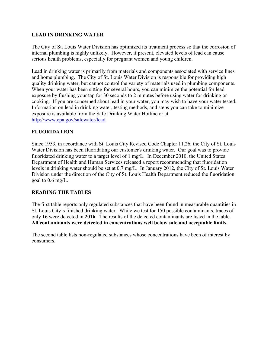#### **LEAD IN DRINKING WATER**

The City of St. Louis Water Division has optimized its treatment process so that the corrosion of internal plumbing is highly unlikely. However, if present, elevated levels of lead can cause serious health problems, especially for pregnant women and young children.

Lead in drinking water is primarily from materials and components associated with service lines and home plumbing. The City of St. Louis Water Division is responsible for providing high quality drinking water, but cannot control the variety of materials used in plumbing components. When your water has been sitting for several hours, you can minimize the potential for lead exposure by flushing your tap for 30 seconds to 2 minutes before using water for drinking or cooking. If you are concerned about lead in your water, you may wish to have your water tested. Information on lead in drinking water, testing methods, and steps you can take to minimize exposure is available from the Safe Drinking Water Hotline or at http://www.epa.gov/safewater/lead.

# **FLUORIDATION**

Since 1953, in accordance with St. Louis City Revised Code Chapter 11.26, the City of St. Louis Water Division has been fluoridating our customer's drinking water. Our goal was to provide fluoridated drinking water to a target level of 1 mg/L. In December 2010, the United States Department of Health and Human Services released a report recommending that fluoridation levels in drinking water should be set at 0.7 mg/L. In January 2012, the City of St. Louis Water Division under the direction of the City of St. Louis Health Department reduced the fluoridation goal to 0.6 mg/L.

#### **READING THE TABLES**

The first table reports only regulated substances that have been found in measurable quantities in St. Louis City's finished drinking water. While we test for 150 possible contaminants, traces of only **16** were detected in **2016**. The results of the detected contaminants are listed in the table. **All contaminants were detected in concentrations well below safe and acceptable limits.**

The second table lists non-regulated substances whose concentrations have been of interest by consumers.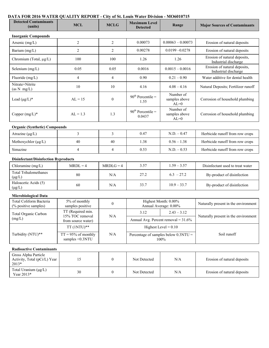#### **DATA FOR 2016 WATER QUALITY REPORT - City of St. Louis Water Division - MO6010715**

| ATA FON 2010 WATEN QUALITT NEI ONT - CIty 01 St. LOUIS WATER DIVISION - MOO0T07T3<br><b>Detected Contaminants</b><br>(units) | <b>MCL</b>                                                                                                          | <b>MCLG</b>      | <b>Maximum Level</b><br><b>Detected</b>        | Range                                | <b>Major Sources of Contaminants</b>                 |  |
|------------------------------------------------------------------------------------------------------------------------------|---------------------------------------------------------------------------------------------------------------------|------------------|------------------------------------------------|--------------------------------------|------------------------------------------------------|--|
|                                                                                                                              |                                                                                                                     |                  |                                                |                                      |                                                      |  |
| <b>Inorganic Compounds</b>                                                                                                   |                                                                                                                     |                  |                                                |                                      |                                                      |  |
| Arsenic (mg/L)                                                                                                               | $\overline{c}$                                                                                                      | $\overline{c}$   | 0.00073                                        | $0.00063 - 0.00073$                  | Erosion of natural deposits                          |  |
| Barium (mg/L)                                                                                                                | $\overline{2}$                                                                                                      | $\overline{2}$   | 0.00278                                        | $0.0199 - 0.0278$                    | Erosion of natural deposits                          |  |
| Chromium (Total, µg/L)                                                                                                       | 100                                                                                                                 | 100              | 1.26                                           | 1.26                                 | Erosion of natural deposits,<br>Industrial discharge |  |
| Selenium (mg/L)                                                                                                              | 0.05                                                                                                                | 0.05             | 0.0016                                         | $0.0015 - 0.0016$                    | Erosion of natural deposits,<br>Industrial discharge |  |
| Fluoride (mg/L)                                                                                                              | $\overline{4}$                                                                                                      | $\overline{4}$   | 0.90                                           | $0.21 - 0.90$                        | Water additive for dental health                     |  |
| Nitrate+Nitrite<br>(as N mg/L)                                                                                               | 10                                                                                                                  | 10               | 4.16                                           | $4.08 - 4.16$                        | Natural Deposits; Fertilizer runoff                  |  |
| Lead $(\mu g/L)^*$                                                                                                           | $AL = 15$                                                                                                           | $\theta$         | $90th$ Percentile =<br>1.55                    | Number of<br>samples above<br>$AL=0$ | Corrosion of household plumbing                      |  |
| Copper $(mg/L)^*$                                                                                                            | $AL = 1.3$                                                                                                          | 1.3              | $90th$ Percentile =<br>0.0437                  | Number of<br>samples above<br>$AL=0$ | Corrosion of household plumbing                      |  |
| <b>Organic (Synthetic) Compounds</b>                                                                                         |                                                                                                                     |                  |                                                |                                      |                                                      |  |
| Atrazine $(\mu g/L)$                                                                                                         | 3                                                                                                                   | 3                | 0.47                                           | $N.D. -0.47$                         | Herbicide runoff from row crops                      |  |
| Methoxychlor (µg/L)                                                                                                          | 40                                                                                                                  | 40               | 1.38                                           | $0.56 - 1.38$                        | Herbicide runoff from row crops                      |  |
| Simazine                                                                                                                     | 4                                                                                                                   | 4                | 0.53                                           | $N.D. -0.53$                         | Herbicide runoff from row crops                      |  |
| <b>Disinfectant/Disinfection Byproducts</b>                                                                                  |                                                                                                                     |                  |                                                |                                      |                                                      |  |
| Chloramine (mg/L)                                                                                                            | $MRDL = 4$                                                                                                          | $MRDLG = 4$      | 3.57                                           | $1.59 - 3.57$                        | Disinfectant used to treat water                     |  |
| <b>Total Trihalomethanes</b><br>$(\mu g/L)$                                                                                  | 80                                                                                                                  | N/A              | 27.2                                           | $6.3 - 27.2$                         | By-product of disinfection                           |  |
| Haloacetic Acids (5)<br>$(\mu g/L)$                                                                                          | 60                                                                                                                  | N/A              | 33.7                                           | $10.9 - 33.7$                        | By-product of disinfection                           |  |
| <b>Microbiological Data</b>                                                                                                  |                                                                                                                     |                  |                                                |                                      |                                                      |  |
| <b>Total Coliform Bacteria</b><br>(% positive samples)                                                                       | 5% of monthly<br>samples positive                                                                                   | $\boldsymbol{0}$ | Highest Month: 0.00%<br>Annual Average: 0.00%  |                                      | Naturally present in the environment                 |  |
| Total Organic Carbon                                                                                                         | TT (Required min.<br>3.12<br>15% TOC removal<br>N/A<br>Annual Avg. Percent removal = $31.6\%$<br>from source water) | $2.43 - 3.12$    |                                                |                                      |                                                      |  |
| (mg/L)                                                                                                                       |                                                                                                                     |                  |                                                |                                      | Naturally present in the environment                 |  |
|                                                                                                                              | $TT(1NTU)**$                                                                                                        |                  | Highest Level = $0.10$                         |                                      | Soil runoff                                          |  |
| Turbidity (NTU)**                                                                                                            | $TT = 95\%$ of monthly<br>samples <0.3NTU                                                                           | $\rm N/A$        | Percentage of samples below $0.3NTU =$<br>100% |                                      |                                                      |  |
| <b>Radioactive Contaminants</b>                                                                                              |                                                                                                                     |                  |                                                |                                      |                                                      |  |
| Gross Alpha Particle<br>Activity, Total (pCi/L) Year<br>2013*                                                                | 15                                                                                                                  | $\boldsymbol{0}$ | Not Detected                                   | N/A                                  | Erosion of natural deposits                          |  |
| Total Uranium (µg/L)<br>Year 2013*                                                                                           | 30                                                                                                                  | $\boldsymbol{0}$ | Not Detected                                   | N/A                                  | Erosion of natural deposits                          |  |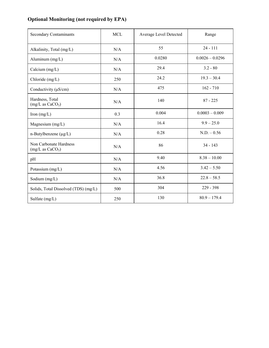# **Optional Monitoring (not required by EPA)**

| <b>Secondary Contaminants</b>                          | <b>MCL</b> | Average Level Detected | Range             |
|--------------------------------------------------------|------------|------------------------|-------------------|
| Alkalinity, Total (mg/L)                               | N/A        | 55                     | $24 - 111$        |
| Aluminum $(mg/L)$                                      | N/A        | 0.0280                 | $0.0026 - 0.0296$ |
| Calcium $(mg/L)$                                       | N/A        | 29.4                   | $3.2 - 80$        |
| Chloride (mg/L)                                        | 250        | 24.2                   | $19.3 - 30.4$     |
| Conductivity $(\mu S/cm)$                              | N/A        | 475                    | $162 - 710$       |
| Hardness, Total<br>(mg/L as CaCO <sub>3</sub> )        | N/A        | 140                    | $87 - 225$        |
| Iron $(mg/L)$                                          | 0.3        | 0.004                  | $0.0003 - 0.009$  |
| Magnesium $(mg/L)$                                     | N/A        | 16.4                   | $9.9 - 25.0$      |
| $n$ -Butylbenzene ( $\mu$ g/L)                         | N/A        | 0.28                   | $N.D. - 0.56$     |
| Non Carbonate Hardness<br>(mg/L as CaCO <sub>3</sub> ) | N/A        | 86                     | $34 - 143$        |
| pH                                                     | N/A        | 9.40                   | $8.38 - 10.00$    |
| Potassium (mg/L)                                       | N/A        | 4.56                   | $3.42 - 5.50$     |
| Sodium (mg/L)                                          | N/A        | 36.8                   | $22.8 - 58.5$     |
| Solids, Total Dissolved (TDS) (mg/L)                   | 500        | 304                    | $229 - 398$       |
| Sulfate (mg/L)                                         | 250        | 130                    | $80.9 - 179.4$    |